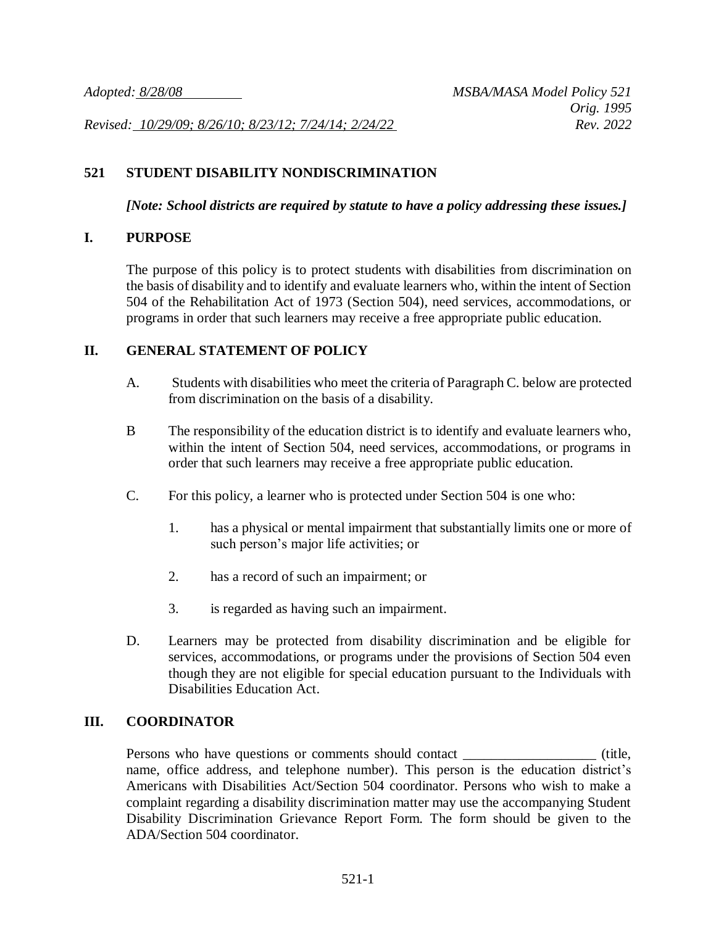*Revised: 10/29/09; 8/26/10; 8/23/12; 7/24/14; 2/24/22 Rev. 2022*

## **521 STUDENT DISABILITY NONDISCRIMINATION**

*[Note: School districts are required by statute to have a policy addressing these issues.]*

## **I. PURPOSE**

The purpose of this policy is to protect students with disabilities from discrimination on the basis of disability and to identify and evaluate learners who, within the intent of Section 504 of the Rehabilitation Act of 1973 (Section 504), need services, accommodations, or programs in order that such learners may receive a free appropriate public education.

## **II. GENERAL STATEMENT OF POLICY**

- A. Students with disabilities who meet the criteria of Paragraph C. below are protected from discrimination on the basis of a disability.
- B The responsibility of the education district is to identify and evaluate learners who, within the intent of Section 504, need services, accommodations, or programs in order that such learners may receive a free appropriate public education.
- C. For this policy, a learner who is protected under Section 504 is one who:
	- 1. has a physical or mental impairment that substantially limits one or more of such person's major life activities; or
	- 2. has a record of such an impairment; or
	- 3. is regarded as having such an impairment.
- D. Learners may be protected from disability discrimination and be eligible for services, accommodations, or programs under the provisions of Section 504 even though they are not eligible for special education pursuant to the Individuals with Disabilities Education Act.

## **III. COORDINATOR**

Persons who have questions or comments should contact \_\_\_\_\_\_\_\_\_\_\_\_\_\_\_\_\_\_\_ (title, name, office address, and telephone number). This person is the education district's Americans with Disabilities Act/Section 504 coordinator. Persons who wish to make a complaint regarding a disability discrimination matter may use the accompanying Student Disability Discrimination Grievance Report Form. The form should be given to the ADA/Section 504 coordinator.